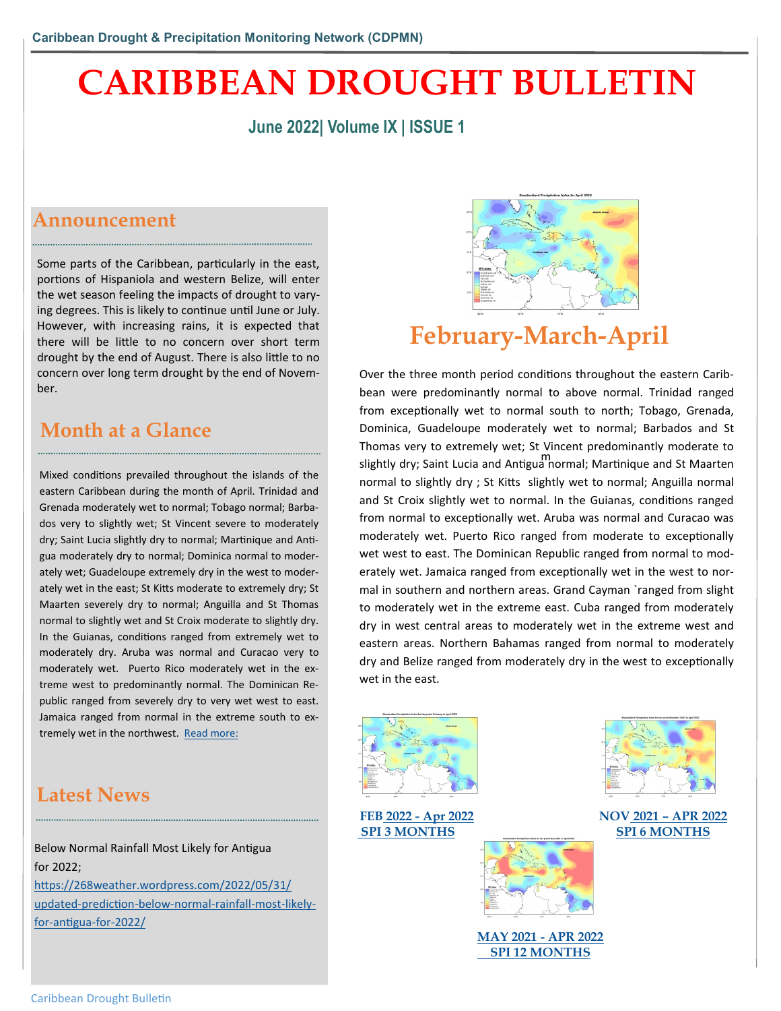# **CARIBBEAN DROUGHT BULLETIN**

### **June 2022| Volume IX | ISSUE 1**

### **Announcement**

Some parts of the Caribbean, particularly in the east, portions of Hispaniola and western Belize, will enter the wet season feeling the impacts of drought to varying degrees. This is likely to continue until June or July. However, with increasing rains, it is expected that there will be little to no concern over short term drought by the end of August. There is also little to no concern over long term drought by the end of November.

## **Month at a Glance**

Mixed conditions prevailed throughout the islands of the eastern Caribbean during the month of April. Trinidad and Grenada moderately wet to normal; Tobago normal; Barbados very to slightly wet; St Vincent severe to moderately dry; Saint Lucia slightly dry to normal; Martinique and Antigua moderately dry to normal; Dominica normal to moderately wet; Guadeloupe extremely dry in the west to moderately wet in the east; St Kitts moderate to extremely dry; St Maarten severely dry to normal; Anguilla and St Thomas normal to slightly wet and St Croix moderate to slightly dry. In the Guianas, conditions ranged from extremely wet to moderately dry. Aruba was normal and Curacao very to moderately wet. Puerto Rico moderately wet in the extreme west to predominantly normal. The Dominican Republic ranged from severely dry to very wet west to east. Jamaica ranged from normal in the extreme south to extremely wet in the northwest. [Read more:](https://rcc.cimh.edu.bb/spi-monitor-april-2022/)



# **February-March-April**

m slightly dry; Saint Lucia and Antigua normal; Martinique and St Maarten Over the three month period conditions throughout the eastern Caribbean were predominantly normal to above normal. Trinidad ranged from exceptionally wet to normal south to north; Tobago, Grenada, Dominica, Guadeloupe moderately wet to normal; Barbados and St Thomas very to extremely wet; St Vincent predominantly moderate to normal to slightly dry ; St Kitts slightly wet to normal; Anguilla normal and St Croix slightly wet to normal. In the Guianas, conditions ranged from normal to exceptionally wet. Aruba was normal and Curacao was moderately wet. Puerto Rico ranged from moderate to exceptionally wet west to east. The Dominican Republic ranged from normal to moderately wet. Jamaica ranged from exceptionally wet in the west to normal in southern and northern areas. Grand Cayman `ranged from slight to moderately wet in the extreme east. Cuba ranged from moderately dry in west central areas to moderately wet in the extreme west and eastern areas. Northern Bahamas ranged from normal to moderately dry and Belize ranged from moderately dry in the west to exceptionally wet in the east.



**FEB 2022 - [Apr 2022](https://rcc.cimh.edu.bb/spi-monitor-march-2022/) [SPI 3 MONTHS](https://rcc.cimh.edu.bb/spi-monitor-march-2022/)**



**NOV 2021 – [APR 2022](https://rcc.cimh.edu.bb/spi-monitor-march-2022/) [SPI 6 MONTHS](https://rcc.cimh.edu.bb/spi-monitor-march-2022/)**

# **Latest News**

Below Normal Rainfall Most Likely for Antigua for 2022;

[https://268weather.wordpress.com/2022/05/31/](https://268weather.wordpress.com/2022/05/31/updated-prediction-below-normal-rainfall-most-likely-for-antigua-for-2022/) updated-[prediction](https://268weather.wordpress.com/2022/05/31/updated-prediction-below-normal-rainfall-most-likely-for-antigua-for-2022/)-below-normal-rainfall-most-likelyfor-[antigua](https://268weather.wordpress.com/2022/05/31/updated-prediction-below-normal-rainfall-most-likely-for-antigua-for-2022/)-for-2022/



**[MAY 2021 -](https://rcc.cimh.edu.bb/spi-monitor-march-2022/) APR 2022  [SPI 12 MONTHS](https://rcc.cimh.edu.bb/spi-monitor-march-2022/)**